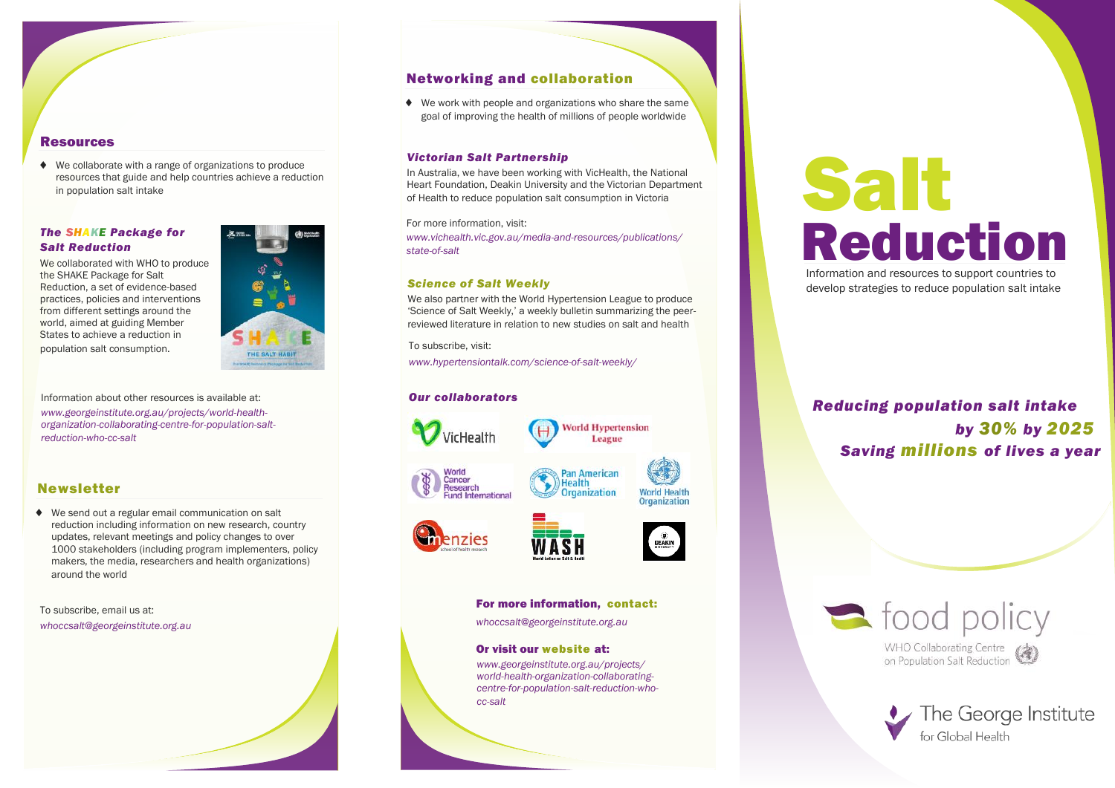# Resources

◆ We collaborate with a range of organizations to produce resources that guide and help countries achieve a reduction in population salt intake

# *The SHAKE Package for Salt Reduction*

We collaborated with WHO to produce the SHAKE Package for Salt Reduction, a set of evidence-based practices, policies and interventions from different settings around the world, aimed at guiding Member States to achieve a reduction in population salt consumption.



Information about other resources is available at: *www.georgeinstitute.org.au/projects/world-healthorganization-collaborating-centre-for-population-saltreduction-who-cc-salt*

# Newsletter

 We send out a regular email communication on salt reduction including information on new research, country updates, relevant meetings and policy changes to over 1000 stakeholders (including program implementers, policy makers, the media, researchers and health organizations) around the world

To subscribe, email us at:

*whoccsalt@georgeinstitute.org.au*

# Networking and collaboration

◆ We work with people and organizations who share the same goal of improving the health of millions of people worldwide

### *Victorian Salt Partnership*

In Australia, we have been working with VicHealth, the National Heart Foundation, Deakin University and the Victorian Department of Health to reduce population salt consumption in Victoria

For more information, visit:

*www.vichealth.vic.gov.au/media-and-resources/publications/ state-of-salt*

# *Science of Salt Weekly*

We also partner with the World Hypertension League to produce 'Science of Salt Weekly,' a weekly bulletin summarizing the peerreviewed literature in relation to new studies on salt and health

To subscribe, visit:

*www.hypertensiontalk.com/science-of-salt-weekly/*

# *Our collaborators*



### For more information, contact:

*whoccsalt@georgeinstitute.org.au*

### Or visit our website at:

*www.georgeinstitute.org.au/projects/ world-health-organization-collaboratingcentre-for-population-salt-reduction-whocc-salt*

# Reduction Salt

Information and resources to support countries to develop strategies to reduce population salt intake

# *Reducing population salt intake by 30% by 2025 Saving millions of lives a year*

stood policy **WHO Collaborating Centre** WHO Collaborating Centre (4)

> The George Institute for Global Health